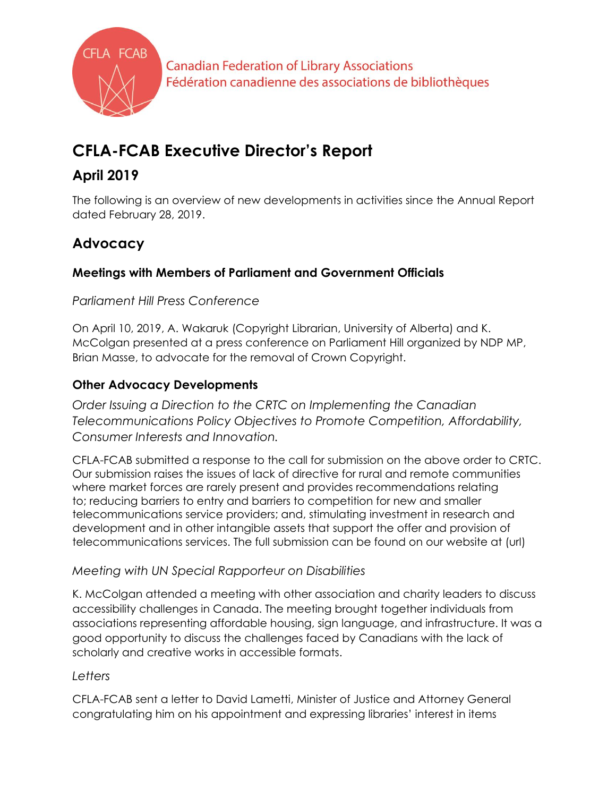

**Canadian Federation of Library Associations** Fédération canadienne des associations de bibliothèques

# **CFLA-FCAB Executive Director's Report**

# **April 2019**

The following is an overview of new developments in activities since the Annual Report dated February 28, 2019.

# **Advocacy**

# **Meetings with Members of Parliament and Government Officials**

## *Parliament Hill Press Conference*

On April 10, 2019, A. Wakaruk (Copyright Librarian, University of Alberta) and K. McColgan presented at a press conference on Parliament Hill organized by NDP MP, Brian Masse, to advocate for the removal of Crown Copyright.

# **Other Advocacy Developments**

*Order Issuing a Direction to the CRTC on Implementing the Canadian Telecommunications Policy Objectives to Promote Competition, Affordability, Consumer Interests and Innovation.*

CFLA-FCAB submitted a response to the call for submission on the above order to CRTC. Our submission raises the issues of lack of directive for rural and remote communities where market forces are rarely present and provides recommendations relating to; reducing barriers to entry and barriers to competition for new and smaller telecommunications service providers; and, stimulating investment in research and development and in other intangible assets that support the offer and provision of telecommunications services. The full submission can be found on our website at (url)

## *Meeting with UN Special Rapporteur on Disabilities*

K. McColgan attended a meeting with other association and charity leaders to discuss accessibility challenges in Canada. The meeting brought together individuals from associations representing affordable housing, sign language, and infrastructure. It was a good opportunity to discuss the challenges faced by Canadians with the lack of scholarly and creative works in accessible formats.

# *Letters*

CFLA-FCAB sent a letter to David Lametti, Minister of Justice and Attorney General congratulating him on his appointment and expressing libraries' interest in items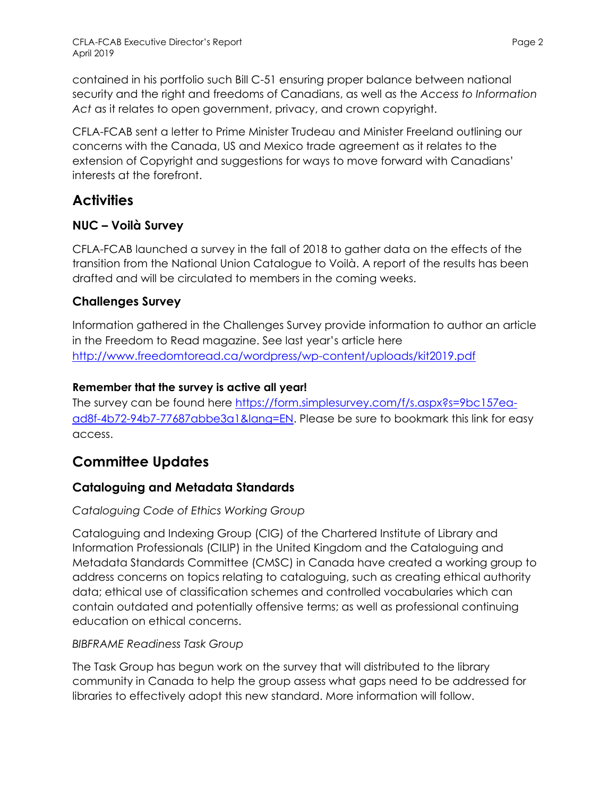contained in his portfolio such Bill C-51 ensuring proper balance between national security and the right and freedoms of Canadians, as well as the *Access to Information Act* as it relates to open government, privacy, and crown copyright.

CFLA-FCAB sent a letter to Prime Minister Trudeau and Minister Freeland outlining our concerns with the Canada, US and Mexico trade agreement as it relates to the extension of Copyright and suggestions for ways to move forward with Canadians' interests at the forefront.

# **Activities**

# **NUC – Voilà Survey**

CFLA-FCAB launched a survey in the fall of 2018 to gather data on the effects of the transition from the National Union Catalogue to Voilà. A report of the results has been drafted and will be circulated to members in the coming weeks.

# **Challenges Survey**

Information gathered in the Challenges Survey provide information to author an article in the Freedom to Read magazine. See last year's article here <http://www.freedomtoread.ca/wordpress/wp-content/uploads/kit2019.pdf>

## **Remember that the survey is active all year!**

The survey can be found here [https://form.simplesurvey.com/f/s.aspx?s=9bc157ea](https://form.simplesurvey.com/f/s.aspx?s=9bc157ea-ad8f-4b72-94b7-77687abbe3a1&lang=EN)[ad8f-4b72-94b7-77687abbe3a1&lang=EN.](https://form.simplesurvey.com/f/s.aspx?s=9bc157ea-ad8f-4b72-94b7-77687abbe3a1&lang=EN) Please be sure to bookmark this link for easy access.

# **Committee Updates**

# **Cataloguing and Metadata Standards**

## *Cataloguing Code of Ethics Working Group*

Cataloguing and Indexing Group (CIG) of the Chartered Institute of Library and Information Professionals (CILIP) in the United Kingdom and the Cataloguing and Metadata Standards Committee (CMSC) in Canada have created a working group to address concerns on topics relating to cataloguing, such as creating ethical authority data; ethical use of classification schemes and controlled vocabularies which can contain outdated and potentially offensive terms; as well as professional continuing education on ethical concerns.

### *BIBFRAME Readiness Task Group*

The Task Group has begun work on the survey that will distributed to the library community in Canada to help the group assess what gaps need to be addressed for libraries to effectively adopt this new standard. More information will follow.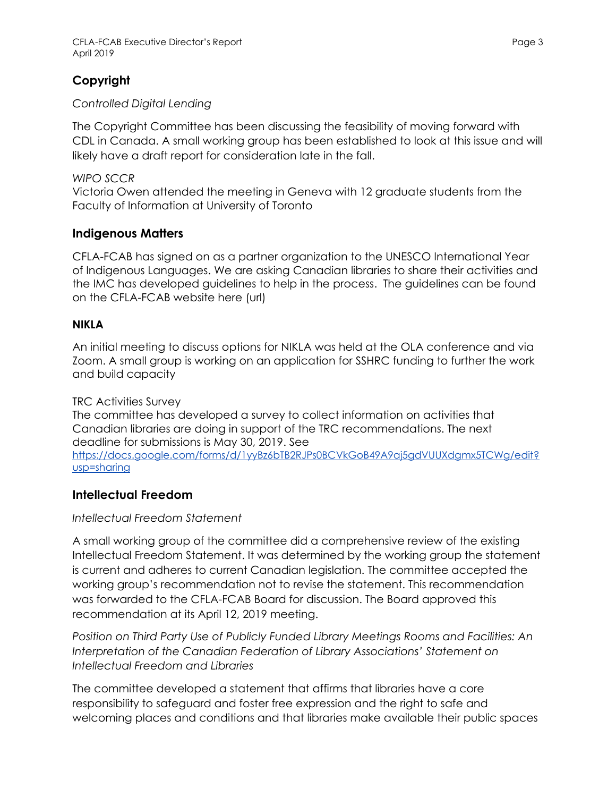## **Copyright**

#### *Controlled Digital Lending*

The Copyright Committee has been discussing the feasibility of moving forward with CDL in Canada. A small working group has been established to look at this issue and will likely have a draft report for consideration late in the fall.

#### *WIPO SCCR*

Victoria Owen attended the meeting in Geneva with 12 graduate students from the Faculty of Information at University of Toronto

#### **Indigenous Matters**

CFLA-FCAB has signed on as a partner organization to the UNESCO International Year of Indigenous Languages. We are asking Canadian libraries to share their activities and the IMC has developed guidelines to help in the process. The guidelines can be found on the CFLA-FCAB website here (url)

#### **NIKLA**

An initial meeting to discuss options for NIKLA was held at the OLA conference and via Zoom. A small group is working on an application for SSHRC funding to further the work and build capacity

#### TRC Activities Survey

The committee has developed a survey to collect information on activities that Canadian libraries are doing in support of the TRC recommendations. The next deadline for submissions is May 30, 2019. See

https://docs.google.com/forms/d/1yyBz6bTB2RJPs0BCVkGoB49A9aj5gdVUUXdgmx5TCWg/edit? usp=sharing

#### **Intellectual Freedom**

#### *Intellectual Freedom Statement*

A small working group of the committee did a comprehensive review of the existing Intellectual Freedom Statement. It was determined by the working group the statement is current and adheres to current Canadian legislation. The committee accepted the working group's recommendation not to revise the statement. This recommendation was forwarded to the CFLA-FCAB Board for discussion. The Board approved this recommendation at its April 12, 2019 meeting.

*Position on Third Party Use of Publicly Funded Library Meetings Rooms and Facilities: An Interpretation of the Canadian Federation of Library Associations' Statement on Intellectual Freedom and Libraries*

The committee developed a statement that affirms that libraries have a core responsibility to safeguard and foster free expression and the right to safe and welcoming places and conditions and that libraries make available their public spaces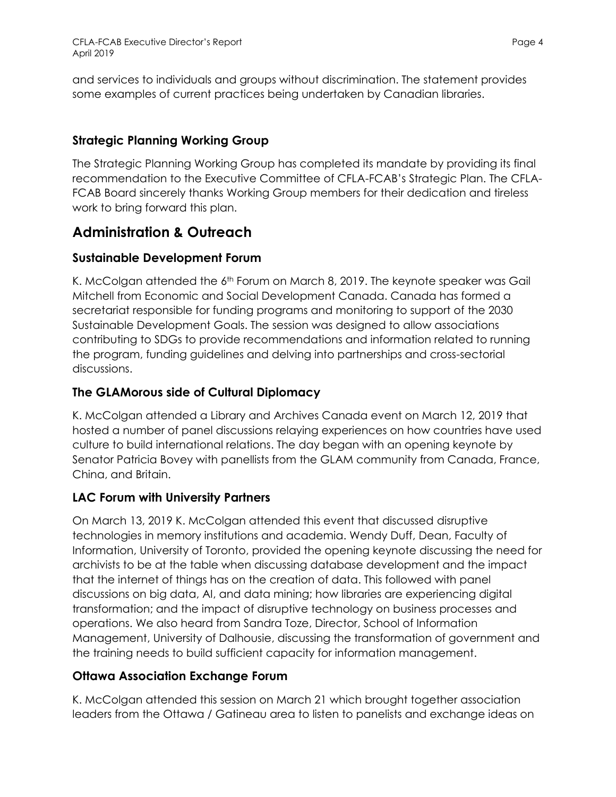and services to individuals and groups without discrimination. The statement provides some examples of current practices being undertaken by Canadian libraries.

## **Strategic Planning Working Group**

The Strategic Planning Working Group has completed its mandate by providing its final recommendation to the Executive Committee of CFLA-FCAB's Strategic Plan. The CFLA-FCAB Board sincerely thanks Working Group members for their dedication and tireless work to bring forward this plan.

# **Administration & Outreach**

## **Sustainable Development Forum**

K. McColgan attended the 6<sup>th</sup> Forum on March 8, 2019. The keynote speaker was Gail Mitchell from Economic and Social Development Canada. Canada has formed a secretariat responsible for funding programs and monitoring to support of the 2030 Sustainable Development Goals. The session was designed to allow associations contributing to SDGs to provide recommendations and information related to running the program, funding guidelines and delving into partnerships and cross-sectorial discussions.

## **The GLAMorous side of Cultural Diplomacy**

K. McColgan attended a Library and Archives Canada event on March 12, 2019 that hosted a number of panel discussions relaying experiences on how countries have used culture to build international relations. The day began with an opening keynote by Senator Patricia Bovey with panellists from the GLAM community from Canada, France, China, and Britain.

## **LAC Forum with University Partners**

On March 13, 2019 K. McColgan attended this event that discussed disruptive technologies in memory institutions and academia. Wendy Duff, Dean, Faculty of Information, University of Toronto, provided the opening keynote discussing the need for archivists to be at the table when discussing database development and the impact that the internet of things has on the creation of data. This followed with panel discussions on big data, AI, and data mining; how libraries are experiencing digital transformation; and the impact of disruptive technology on business processes and operations. We also heard from Sandra Toze, Director, School of Information Management, University of Dalhousie, discussing the transformation of government and the training needs to build sufficient capacity for information management.

## **Ottawa Association Exchange Forum**

K. McColgan attended this session on March 21 which brought together association leaders from the Ottawa / Gatineau area to listen to panelists and exchange ideas on